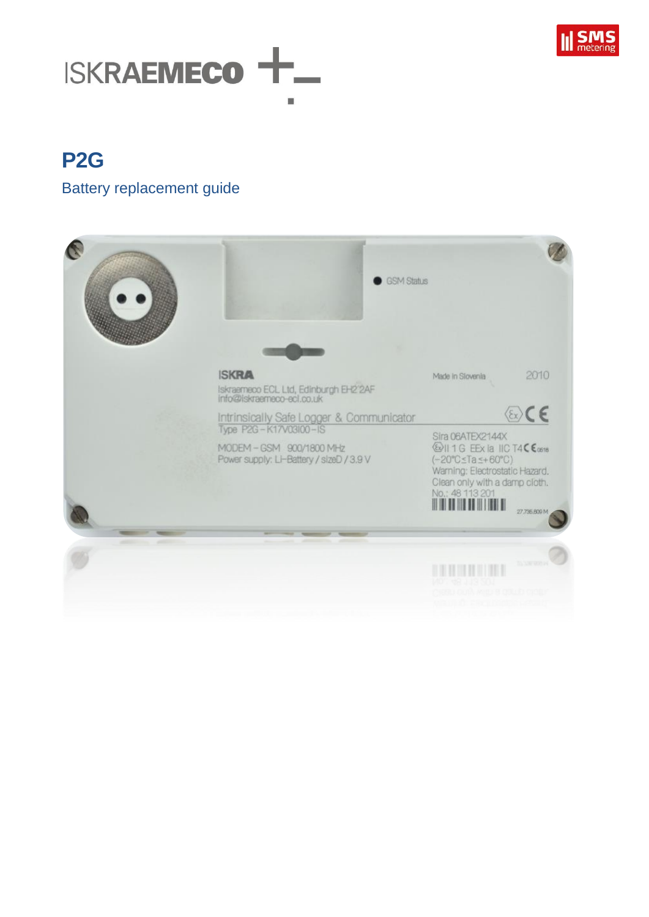

# **ISKRAEMECO -**

## **P2G**

#### Battery replacement guide

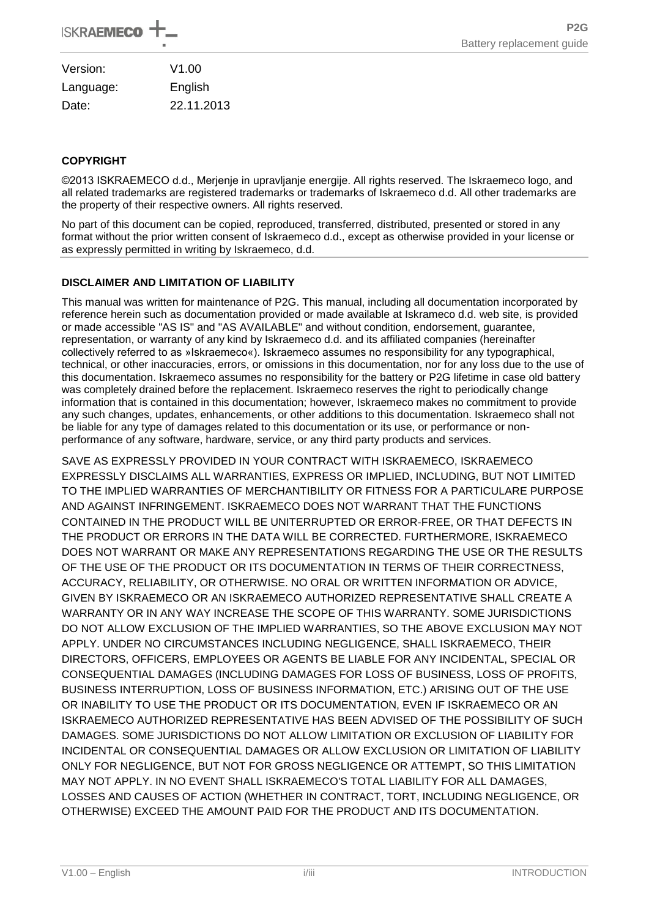| Version:  | V1.00      |
|-----------|------------|
| Language: | English    |
| Date:     | 22.11.2013 |

#### **COPYRIGHT**

©2013 ISKRAEMECO d.d., Merjenje in upravljanje energije. All rights reserved. The Iskraemeco logo, and all related trademarks are registered trademarks or trademarks of Iskraemeco d.d. All other trademarks are the property of their respective owners. All rights reserved.

No part of this document can be copied, reproduced, transferred, distributed, presented or stored in any format without the prior written consent of Iskraemeco d.d., except as otherwise provided in your license or as expressly permitted in writing by Iskraemeco, d.d.

#### **DISCLAIMER AND LIMITATION OF LIABILITY**

This manual was written for maintenance of P2G. This manual, including all documentation incorporated by reference herein such as documentation provided or made available at Iskrameco d.d. web site, is provided or made accessible "AS IS" and "AS AVAILABLE" and without condition, endorsement, guarantee, representation, or warranty of any kind by Iskraemeco d.d. and its affiliated companies (hereinafter collectively referred to as »Iskraemeco«). Iskraemeco assumes no responsibility for any typographical, technical, or other inaccuracies, errors, or omissions in this documentation, nor for any loss due to the use of this documentation. Iskraemeco assumes no responsibility for the battery or P2G lifetime in case old battery was completely drained before the replacement. Iskraemeco reserves the right to periodically change information that is contained in this documentation; however, Iskraemeco makes no commitment to provide any such changes, updates, enhancements, or other additions to this documentation. Iskraemeco shall not be liable for any type of damages related to this documentation or its use, or performance or nonperformance of any software, hardware, service, or any third party products and services.

SAVE AS EXPRESSLY PROVIDED IN YOUR CONTRACT WITH ISKRAEMECO, ISKRAEMECO EXPRESSLY DISCLAIMS ALL WARRANTIES, EXPRESS OR IMPLIED, INCLUDING, BUT NOT LIMITED TO THE IMPLIED WARRANTIES OF MERCHANTIBILITY OR FITNESS FOR A PARTICULARE PURPOSE AND AGAINST INFRINGEMENT. ISKRAEMECO DOES NOT WARRANT THAT THE FUNCTIONS CONTAINED IN THE PRODUCT WILL BE UNITERRUPTED OR ERROR-FREE, OR THAT DEFECTS IN THE PRODUCT OR ERRORS IN THE DATA WILL BE CORRECTED. FURTHERMORE, ISKRAEMECO DOES NOT WARRANT OR MAKE ANY REPRESENTATIONS REGARDING THE USE OR THE RESULTS OF THE USE OF THE PRODUCT OR ITS DOCUMENTATION IN TERMS OF THEIR CORRECTNESS, ACCURACY, RELIABILITY, OR OTHERWISE. NO ORAL OR WRITTEN INFORMATION OR ADVICE, GIVEN BY ISKRAEMECO OR AN ISKRAEMECO AUTHORIZED REPRESENTATIVE SHALL CREATE A WARRANTY OR IN ANY WAY INCREASE THE SCOPE OF THIS WARRANTY. SOME JURISDICTIONS DO NOT ALLOW EXCLUSION OF THE IMPLIED WARRANTIES, SO THE ABOVE EXCLUSION MAY NOT APPLY. UNDER NO CIRCUMSTANCES INCLUDING NEGLIGENCE, SHALL ISKRAEMECO, THEIR DIRECTORS, OFFICERS, EMPLOYEES OR AGENTS BE LIABLE FOR ANY INCIDENTAL, SPECIAL OR CONSEQUENTIAL DAMAGES (INCLUDING DAMAGES FOR LOSS OF BUSINESS, LOSS OF PROFITS, BUSINESS INTERRUPTION, LOSS OF BUSINESS INFORMATION, ETC.) ARISING OUT OF THE USE OR INABILITY TO USE THE PRODUCT OR ITS DOCUMENTATION, EVEN IF ISKRAEMECO OR AN ISKRAEMECO AUTHORIZED REPRESENTATIVE HAS BEEN ADVISED OF THE POSSIBILITY OF SUCH DAMAGES. SOME JURISDICTIONS DO NOT ALLOW LIMITATION OR EXCLUSION OF LIABILITY FOR INCIDENTAL OR CONSEQUENTIAL DAMAGES OR ALLOW EXCLUSION OR LIMITATION OF LIABILITY ONLY FOR NEGLIGENCE, BUT NOT FOR GROSS NEGLIGENCE OR ATTEMPT, SO THIS LIMITATION MAY NOT APPLY. IN NO EVENT SHALL ISKRAEMECO'S TOTAL LIABILITY FOR ALL DAMAGES, LOSSES AND CAUSES OF ACTION (WHETHER IN CONTRACT, TORT, INCLUDING NEGLIGENCE, OR OTHERWISE) EXCEED THE AMOUNT PAID FOR THE PRODUCT AND ITS DOCUMENTATION.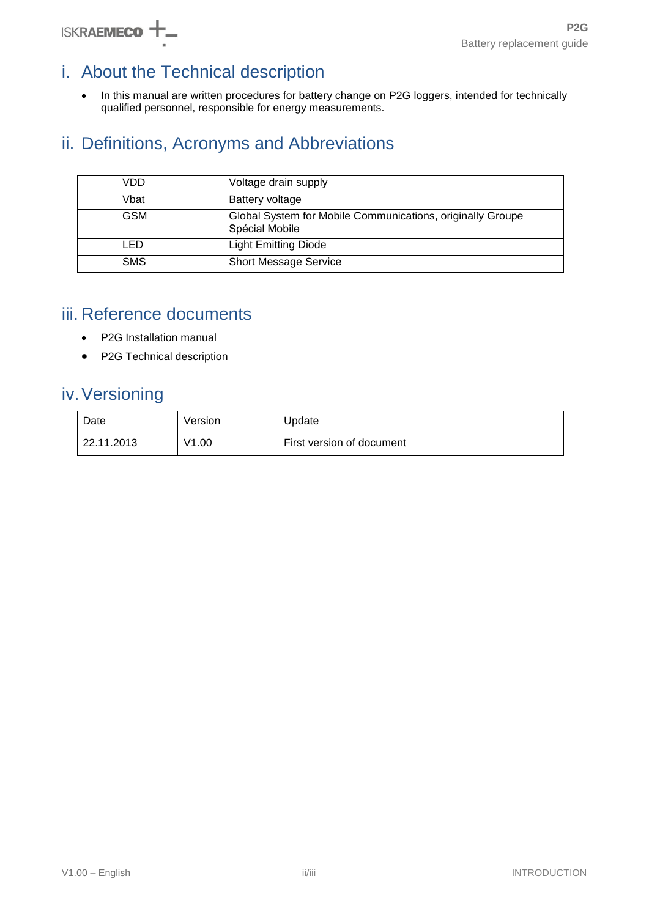## i. About the Technical description

• In this manual are written procedures for battery change on P2G loggers, intended for technically qualified personnel, responsible for energy measurements.

## ii. Definitions, Acronyms and Abbreviations

| VDD        | Voltage drain supply                                                         |  |
|------------|------------------------------------------------------------------------------|--|
| Vbat       | Battery voltage                                                              |  |
| <b>GSM</b> | Global System for Mobile Communications, originally Groupe<br>Spécial Mobile |  |
| LED        | <b>Light Emitting Diode</b>                                                  |  |
| <b>SMS</b> | <b>Short Message Service</b>                                                 |  |

### iii. Reference documents

- P2G Installation manual
- P2G Technical description

## iv.Versioning

| Date       | Version | Update                    |
|------------|---------|---------------------------|
| 22.11.2013 | V1.00   | First version of document |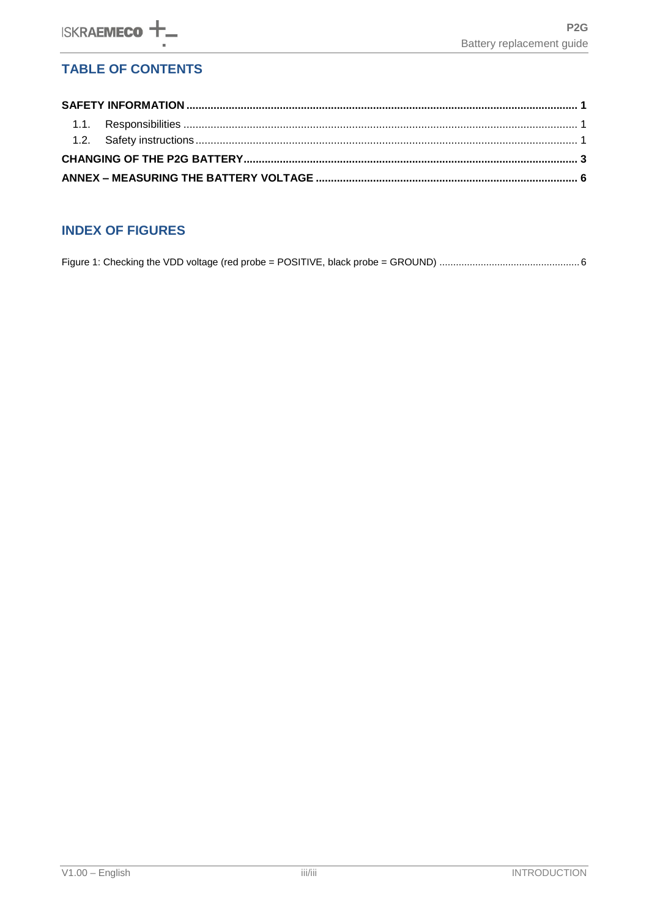#### **TABLE OF CONTENTS**

#### **INDEX OF FIGURES**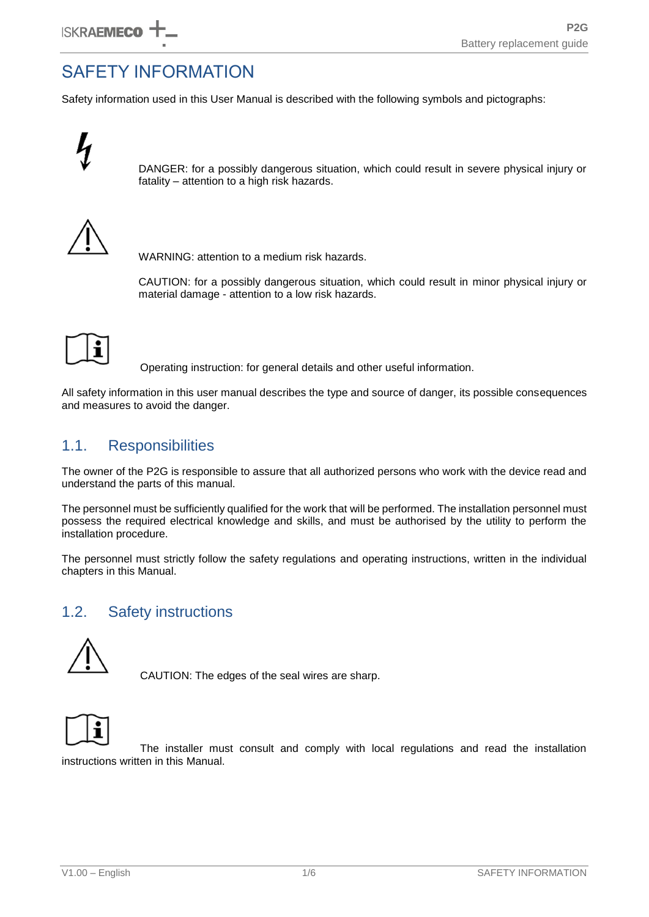## <span id="page-4-0"></span>SAFETY INFORMATION

Safety information used in this User Manual is described with the following symbols and pictographs:



DANGER: for a possibly dangerous situation, which could result in severe physical injury or fatality – attention to a high risk hazards.



WARNING: attention to a medium risk hazards.

CAUTION: for a possibly dangerous situation, which could result in minor physical injury or material damage - attention to a low risk hazards.

Operating instruction: for general details and other useful information.

All safety information in this user manual describes the type and source of danger, its possible consequences and measures to avoid the danger.

#### <span id="page-4-1"></span>1.1. Responsibilities

The owner of the P2G is responsible to assure that all authorized persons who work with the device read and understand the parts of this manual.

The personnel must be sufficiently qualified for the work that will be performed. The installation personnel must possess the required electrical knowledge and skills, and must be authorised by the utility to perform the installation procedure.

The personnel must strictly follow the safety regulations and operating instructions, written in the individual chapters in this Manual.

#### <span id="page-4-2"></span>1.2. Safety instructions



CAUTION: The edges of the seal wires are sharp.



The installer must consult and comply with local regulations and read the installation instructions written in this Manual.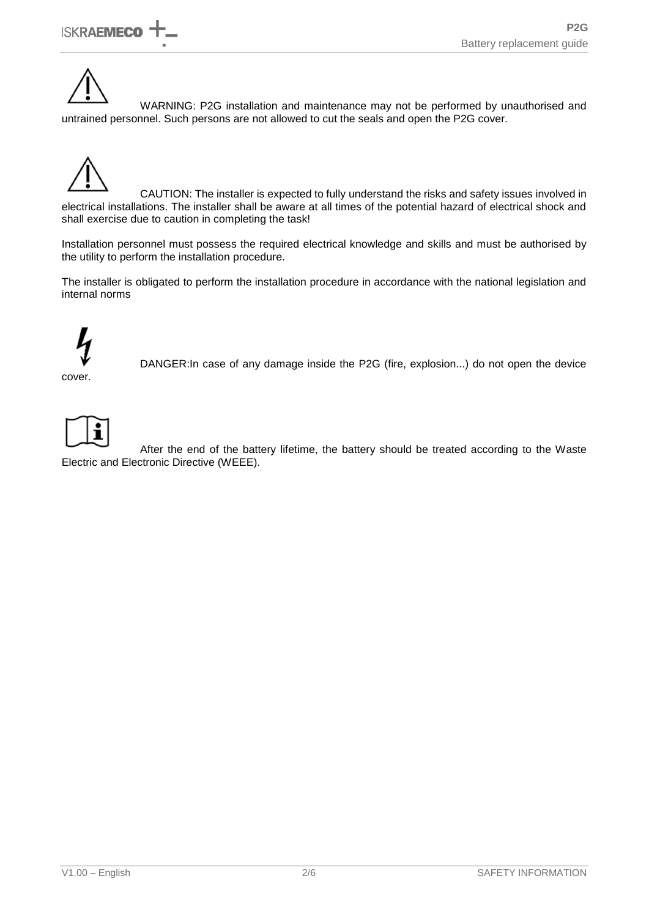WARNING: P2G installation and maintenance may not be performed by unauthorised and untrained personnel. Such persons are not allowed to cut the seals and open the P2G cover.



CAUTION: The installer is expected to fully understand the risks and safety issues involved in electrical installations. The installer shall be aware at all times of the potential hazard of electrical shock and shall exercise due to caution in completing the task!

Installation personnel must possess the required electrical knowledge and skills and must be authorised by the utility to perform the installation procedure.

The installer is obligated to perform the installation procedure in accordance with the national legislation and internal norms



cover.

DANGER:In case of any damage inside the P2G (fire, explosion...) do not open the device



After the end of the battery lifetime, the battery should be treated according to the Waste Electric and Electronic Directive (WEEE).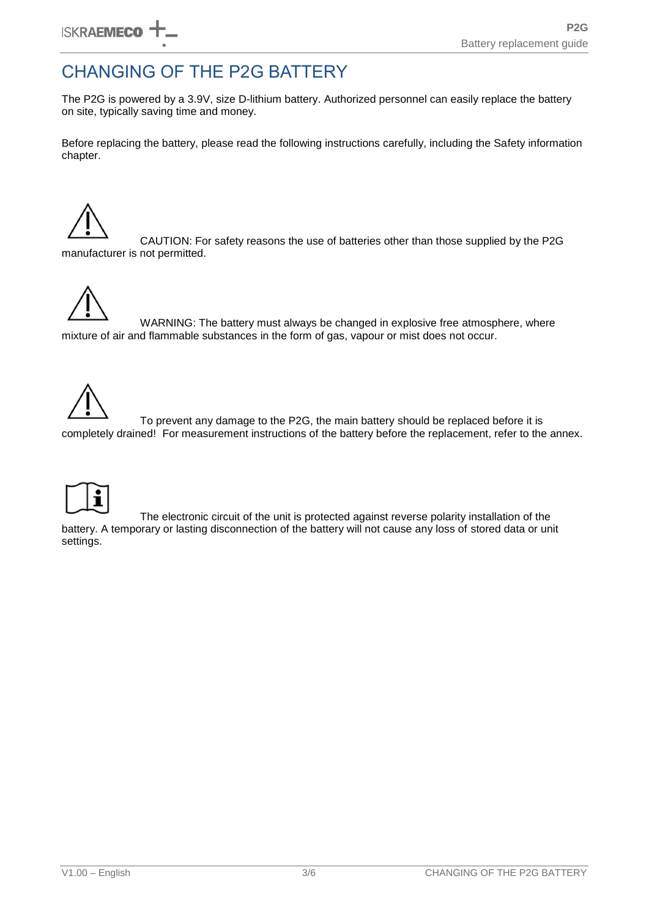## <span id="page-6-0"></span>CHANGING OF THE P2G BATTERY

The P2G is powered by a 3.9V, size D-lithium battery. Authorized personnel can easily replace the battery on site, typically saving time and money.

Before replacing the battery, please read the following instructions carefully, including the Safety information chapter.

CAUTION: For safety reasons the use of batteries other than those supplied by the P2G manufacturer is not permitted.



WARNING: The battery must always be changed in explosive free atmosphere, where mixture of air and flammable substances in the form of gas, vapour or mist does not occur.



To prevent any damage to the P2G, the main battery should be replaced before it is completely drained! For measurement instructions of the battery before the replacement, refer to the annex.



The electronic circuit of the unit is protected against reverse polarity installation of the battery. A temporary or lasting disconnection of the battery will not cause any loss of stored data or unit settings.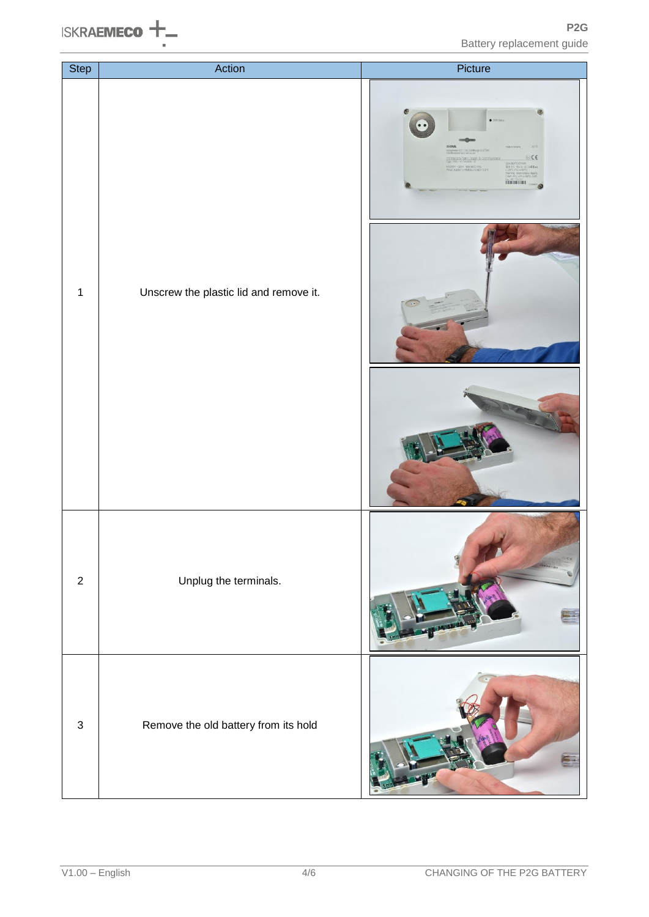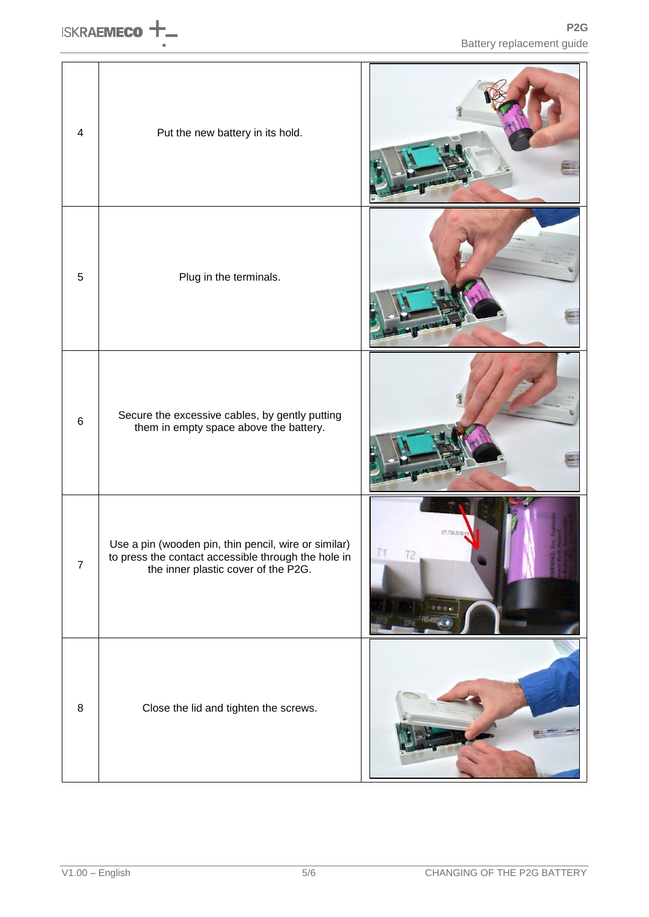| $\overline{\mathbf{4}}$ | Put the new battery in its hold.                                                                                                                   |  |
|-------------------------|----------------------------------------------------------------------------------------------------------------------------------------------------|--|
| $\sqrt{5}$              | Plug in the terminals.                                                                                                                             |  |
| $\,6\,$                 | Secure the excessive cables, by gently putting<br>them in empty space above the battery.                                                           |  |
| $\overline{7}$          | Use a pin (wooden pin, thin pencil, wire or similar)<br>to press the contact accessible through the hole in<br>the inner plastic cover of the P2G. |  |
| $\bf 8$                 | Close the lid and tighten the screws.                                                                                                              |  |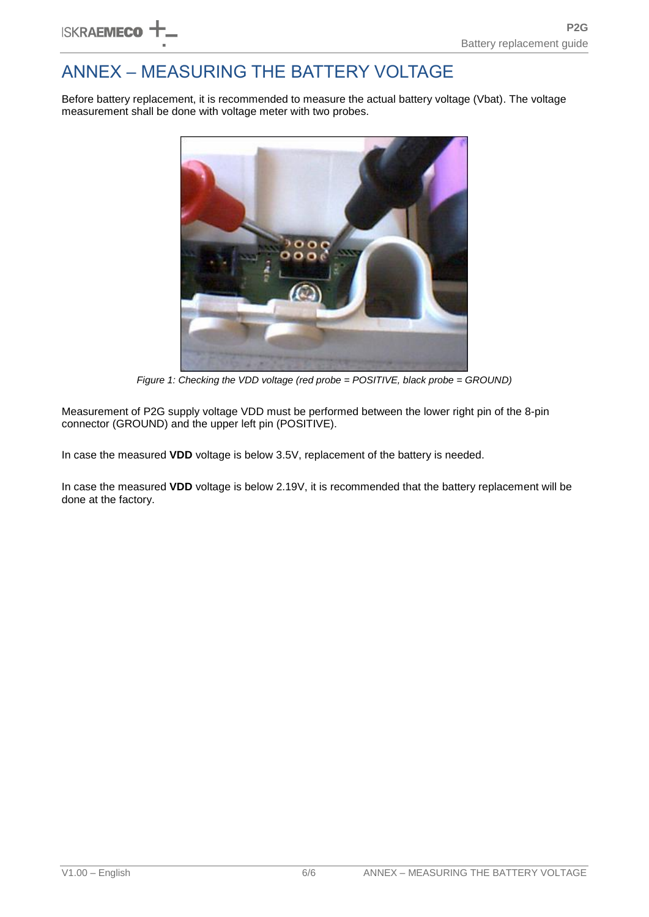## <span id="page-9-0"></span>ANNEX – MEASURING THE BATTERY VOLTAGE

Before battery replacement, it is recommended to measure the actual battery voltage (Vbat). The voltage measurement shall be done with voltage meter with two probes.



*Figure 1: Checking the VDD voltage (red probe = POSITIVE, black probe = GROUND)*

<span id="page-9-1"></span>Measurement of P2G supply voltage VDD must be performed between the lower right pin of the 8-pin connector (GROUND) and the upper left pin (POSITIVE).

In case the measured **VDD** voltage is below 3.5V, replacement of the battery is needed.

In case the measured **VDD** voltage is below 2.19V, it is recommended that the battery replacement will be done at the factory.